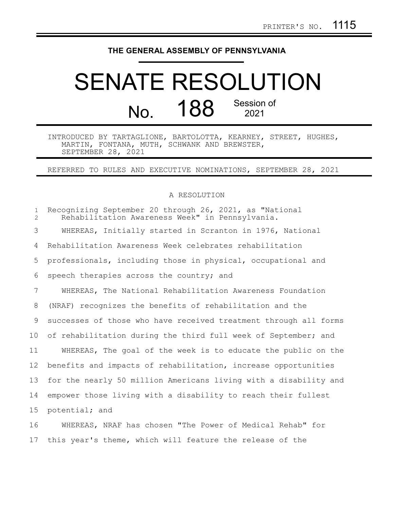## **THE GENERAL ASSEMBLY OF PENNSYLVANIA**

## SENATE RESOLUTION No. 188 Session of 2021

INTRODUCED BY TARTAGLIONE, BARTOLOTTA, KEARNEY, STREET, HUGHES, MARTIN, FONTANA, MUTH, SCHWANK AND BREWSTER, SEPTEMBER 28, 2021

REFERRED TO RULES AND EXECUTIVE NOMINATIONS, SEPTEMBER 28, 2021

## A RESOLUTION

| $\mathbf{1}$<br>$\overline{2}$ | Recognizing September 20 through 26, 2021, as "National<br>Rehabilitation Awareness Week" in Pennsylvania. |
|--------------------------------|------------------------------------------------------------------------------------------------------------|
| 3                              | WHEREAS, Initially started in Scranton in 1976, National                                                   |
| 4                              | Rehabilitation Awareness Week celebrates rehabilitation                                                    |
| 5                              | professionals, including those in physical, occupational and                                               |
| 6                              | speech therapies across the country; and                                                                   |
| 7                              | WHEREAS, The National Rehabilitation Awareness Foundation                                                  |
| 8                              | (NRAF) recognizes the benefits of rehabilitation and the                                                   |
| 9                              | successes of those who have received treatment through all forms                                           |
| 10                             | of rehabilitation during the third full week of September; and                                             |
| 11                             | WHEREAS, The goal of the week is to educate the public on the                                              |
| 12 <sup>°</sup>                | benefits and impacts of rehabilitation, increase opportunities                                             |
| 13                             | for the nearly 50 million Americans living with a disability and                                           |
| 14                             | empower those living with a disability to reach their fullest                                              |
| 15 <sub>1</sub>                | potential; and                                                                                             |
| 16                             | WHEREAS, NRAF has chosen "The Power of Medical Rehab" for                                                  |

17 this year's theme, which will feature the release of the